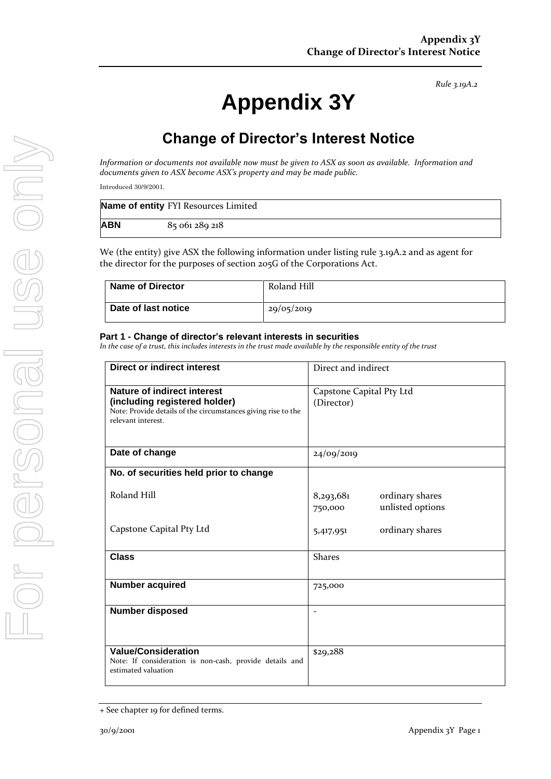# **Appendix 3Y**

# **Change of Director's Interest Notice**

*Information or documents not available now must be given to ASX as soon as available. Information and documents given to ASX become ASX's property and may be made public.*

Introduced 30/9/2001.

|            | Name of entity FYI Resources Limited |
|------------|--------------------------------------|
| <b>ABN</b> | 85 061 289 218                       |

We (the entity) give ASX the following information under listing rule 3.19A.2 and as agent for the director for the purposes of section 205G of the Corporations Act.

| <b>Name of Director</b> | Roland Hill |
|-------------------------|-------------|
| Date of last notice     | 29/05/2019  |

#### **Part 1 - Change of director's relevant interests in securities**

*In the case of a trust, this includes interests in the trust made available by the responsible entity of the trust*

| <b>Direct or indirect interest</b>                                                                                                                         | Direct and indirect                                         |  |
|------------------------------------------------------------------------------------------------------------------------------------------------------------|-------------------------------------------------------------|--|
| <b>Nature of indirect interest</b><br>(including registered holder)<br>Note: Provide details of the circumstances giving rise to the<br>relevant interest. | Capstone Capital Pty Ltd<br>(Director)                      |  |
| Date of change                                                                                                                                             | 24/09/2019                                                  |  |
| No. of securities held prior to change                                                                                                                     |                                                             |  |
| Roland Hill                                                                                                                                                | 8,293,681<br>ordinary shares<br>unlisted options<br>750,000 |  |
| Capstone Capital Pty Ltd                                                                                                                                   | ordinary shares<br>5,417,951                                |  |
| <b>Class</b>                                                                                                                                               | <b>Shares</b>                                               |  |
| <b>Number acquired</b>                                                                                                                                     | 725,000                                                     |  |
| <b>Number disposed</b>                                                                                                                                     |                                                             |  |
| <b>Value/Consideration</b><br>Note: If consideration is non-cash, provide details and<br>estimated valuation                                               | \$29,288                                                    |  |

<sup>+</sup> See chapter 19 for defined terms.

*Rule 3.19A.2*